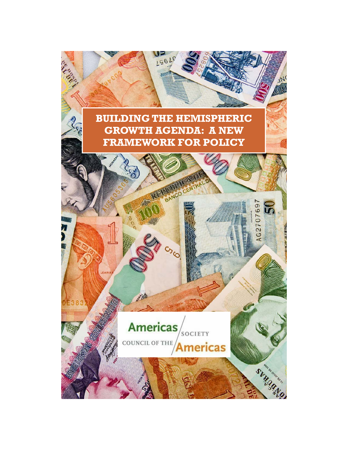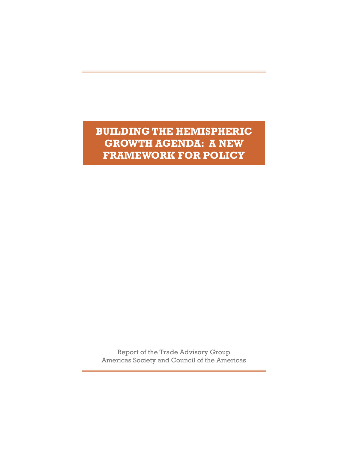**BUILDING THE HEMISPHERIC GROWTH AGENDA: A NEW FRAMEWORK FOR POLICY** 

Report of the Trade Advisory Group Americas Society and Council of the Americas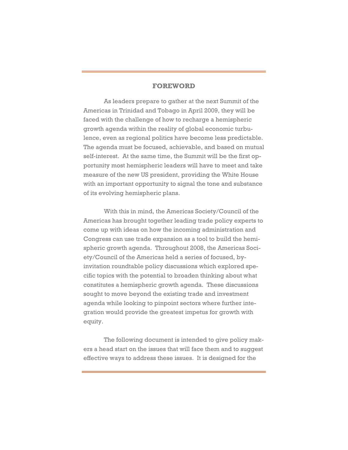## **FOREWORD**

As leaders prepare to gather at the next Summit of the Americas in Trinidad and Tobago in April 2009, they will be faced with the challenge of how to recharge a hemispheric growth agenda within the reality of global economic turbulence, even as regional politics have become less predictable. The agenda must be focused, achievable, and based on mutual self-interest. At the same time, the Summit will be the first opportunity most hemispheric leaders will have to meet and take measure of the new US president, providing the White House with an important opportunity to signal the tone and substance of its evolving hemispheric plans.

With this in mind, the Americas Society/Council of the Americas has brought together leading trade policy experts to come up with ideas on how the incoming administration and Congress can use trade expansion as a tool to build the hemispheric growth agenda. Throughout 2008, the Americas Society/Council of the Americas held a series of focused, byinvitation roundtable policy discussions which explored specific topics with the potential to broaden thinking about what constitutes a hemispheric growth agenda. These discussions sought to move beyond the existing trade and investment agenda while looking to pinpoint sectors where further integration would provide the greatest impetus for growth with equity.

 The following document is intended to give policy makers a head start on the issues that will face them and to suggest effective ways to address these issues. It is designed for the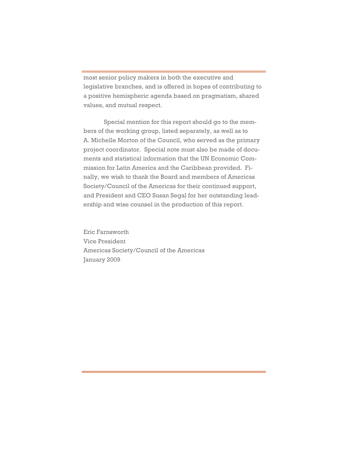most senior policy makers in both the executive and legislative branches, and is offered in hopes of contributing to a positive hemispheric agenda based on pragmatism, shared values, and mutual respect.

 Special mention for this report should go to the members of the working group, listed separately, as well as to A. Michelle Morton of the Council, who served as the primary project coordinator. Special note must also be made of documents and statistical information that the UN Economic Commission for Latin America and the Caribbean provided. Finally, we wish to thank the Board and members of Americas Society/Council of the Americas for their continued support, and President and CEO Susan Segal for her outstanding leadership and wise counsel in the production of this report.

Eric Farnsworth Vice President Americas Society/Council of the Americas January 2009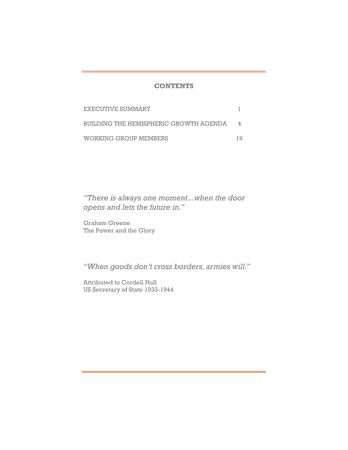## **CONTENTS**

| EXECUTIVE SUMMARY                      |  |
|----------------------------------------|--|
| BUILDING THE HEMISPHERIC GROWTH AGENDA |  |
| WORKING GROUP MEMBERS                  |  |

*"There is always one moment...when the door opens and lets the future in."* 

Graham Greene The Power and the Glory

*"When goods don't cross borders, armies will."* 

Attributed to Cordell Hull US Secretary of State 1933-1944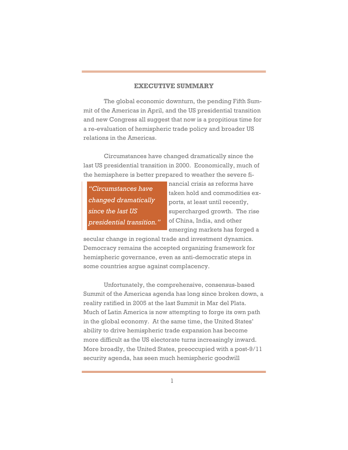## **EXECUTIVE SUMMARY**

 The global economic downturn, the pending Fifth Summit of the Americas in April, and the US presidential transition and new Congress all suggest that now is a propitious time for a re-evaluation of hemispheric trade policy and broader US relations in the Americas.

 Circumstances have changed dramatically since the last US presidential transition in 2000. Economically, much of the hemisphere is better prepared to weather the severe fi-

*"Circumstances have changed dramatically since the last US presidential transition."*  nancial crisis as reforms have taken hold and commodities exports, at least until recently, supercharged growth. The rise of China, India, and other

emerging markets has forged a

secular change in regional trade and investment dynamics. Democracy remains the accepted organizing framework for hemispheric governance, even as anti-democratic steps in some countries argue against complacency.

 Unfortunately, the comprehensive, consensus-based Summit of the Americas agenda has long since broken down, a reality ratified in 2005 at the last Summit in Mar del Plata. Much of Latin America is now attempting to forge its own path in the global economy. At the same time, the United States' ability to drive hemispheric trade expansion has become more difficult as the US electorate turns increasingly inward. More broadly, the United States, preoccupied with a post-9/11 security agenda, has seen much hemispheric goodwill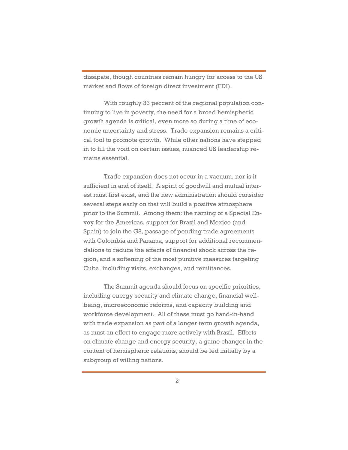dissipate, though countries remain hungry for access to the US market and flows of foreign direct investment (FDI).

With roughly 33 percent of the regional population continuing to live in poverty, the need for a broad hemispheric growth agenda is critical, even more so during a time of economic uncertainty and stress. Trade expansion remains a critical tool to promote growth. While other nations have stepped in to fill the void on certain issues, nuanced US leadership remains essential.

Trade expansion does not occur in a vacuum, nor is it sufficient in and of itself. A spirit of goodwill and mutual interest must first exist, and the new administration should consider several steps early on that will build a positive atmosphere prior to the Summit. Among them: the naming of a Special Envoy for the Americas, support for Brazil and Mexico (and Spain) to join the G8, passage of pending trade agreements with Colombia and Panama, support for additional recommendations to reduce the effects of financial shock across the region, and a softening of the most punitive measures targeting Cuba, including visits, exchanges, and remittances.

 The Summit agenda should focus on specific priorities, including energy security and climate change, financial wellbeing, microeconomic reforms, and capacity building and workforce development. All of these must go hand-in-hand with trade expansion as part of a longer term growth agenda, as must an effort to engage more actively with Brazil. Efforts on climate change and energy security, a game changer in the context of hemispheric relations, should be led initially by a subgroup of willing nations.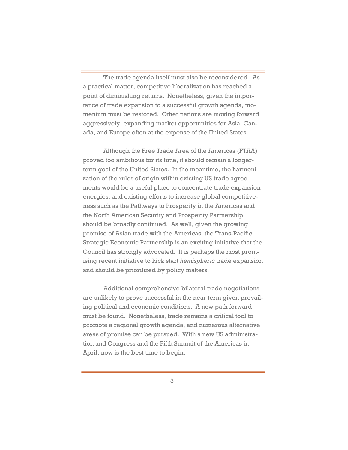The trade agenda itself must also be reconsidered. As a practical matter, competitive liberalization has reached a point of diminishing returns. Nonetheless, given the importance of trade expansion to a successful growth agenda, momentum must be restored. Other nations are moving forward aggressively, expanding market opportunities for Asia, Canada, and Europe often at the expense of the United States.

 Although the Free Trade Area of the Americas (FTAA) proved too ambitious for its time, it should remain a longerterm goal of the United States. In the meantime, the harmonization of the rules of origin within existing US trade agreements would be a useful place to concentrate trade expansion energies, and existing efforts to increase global competitiveness such as the Pathways to Prosperity in the Americas and the North American Security and Prosperity Partnership should be broadly continued. As well, given the growing promise of Asian trade with the Americas, the Trans-Pacific Strategic Economic Partnership is an exciting initiative that the Council has strongly advocated. It is perhaps the most promising recent initiative to kick start *hemispheric* trade expansion and should be prioritized by policy makers.

Additional comprehensive bilateral trade negotiations are unlikely to prove successful in the near term given prevailing political and economic conditions. A new path forward must be found. Nonetheless, trade remains a critical tool to promote a regional growth agenda, and numerous alternative areas of promise can be pursued. With a new US administration and Congress and the Fifth Summit of the Americas in April, now is the best time to begin.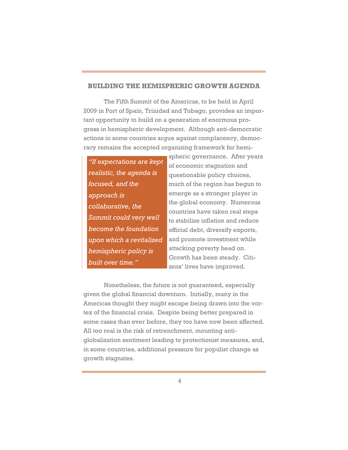## **BUILDING THE HEMISPHERIC GROWTH AGENDA**

The Fifth Summit of the Americas, to be held in April 2009 in Port of Spain, Trinidad and Tobago, provides an important opportunity to build on a generation of enormous progress in hemispheric development. Although anti-democratic actions in some countries argue against complacency, democracy remains the accepted organizing framework for hemi-

*"If expectations are kept realistic, the agenda is focused, and the approach is collaborative, the Summit could very well become the foundation upon which a revitalized hemispheric policy is built over time."*

spheric governance. After years of economic stagnation and questionable policy choices, much of the region has begun to emerge as a stronger player in the global economy. Numerous countries have taken real steps to stabilize inflation and reduce official debt, diversify exports, and promote investment while attacking poverty head on. Growth has been steady. Citizens' lives have improved.

Nonetheless, the future is not guaranteed, especially given the global financial downturn. Initially, many in the Americas thought they might escape being drawn into the vortex of the financial crisis. Despite being better prepared in some cases than ever before, they too have now been affected. All too real is the risk of retrenchment, mounting antiglobalization sentiment leading to protectionist measures, and, in some countries, additional pressure for populist change as growth stagnates.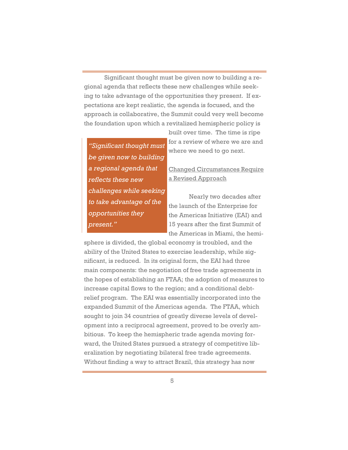Significant thought must be given now to building a regional agenda that reflects these new challenges while seeking to take advantage of the opportunities they present. If expectations are kept realistic, the agenda is focused, and the approach is collaborative, the Summit could very well become the foundation upon which a revitalized hemispheric policy is

*"Significant thought must be given now to building a regional agenda that reflects these new challenges while seeking to take advantage of the opportunities they present."*

built over time. The time is ripe for a review of where we are and where we need to go next.

Changed Circumstances Require a Revised Approach

 Nearly two decades after the launch of the Enterprise for the Americas Initiative (EAI) and 15 years after the first Summit of the Americas in Miami, the hemi-

sphere is divided, the global economy is troubled, and the ability of the United States to exercise leadership, while significant, is reduced. In its original form, the EAI had three main components: the negotiation of free trade agreements in the hopes of establishing an FTAA; the adoption of measures to increase capital flows to the region; and a conditional debtrelief program. The EAI was essentially incorporated into the expanded Summit of the Americas agenda. The FTAA, which sought to join 34 countries of greatly diverse levels of development into a reciprocal agreement, proved to be overly ambitious. To keep the hemispheric trade agenda moving forward, the United States pursued a strategy of competitive liberalization by negotiating bilateral free trade agreements. Without finding a way to attract Brazil, this strategy has now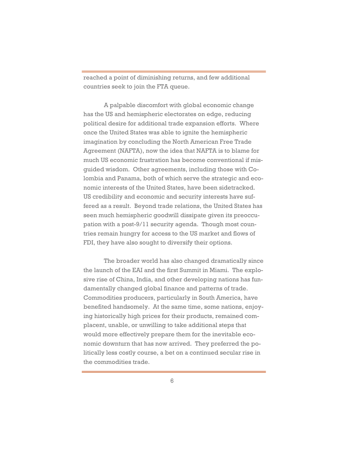reached a point of diminishing returns, and few additional countries seek to join the FTA queue.

A palpable discomfort with global economic change has the US and hemispheric electorates on edge, reducing political desire for additional trade expansion efforts. Where once the United States was able to ignite the hemispheric imagination by concluding the North American Free Trade Agreement (NAFTA), now the idea that NAFTA is to blame for much US economic frustration has become conventional if misguided wisdom. Other agreements, including those with Colombia and Panama, both of which serve the strategic and economic interests of the United States, have been sidetracked. US credibility and economic and security interests have suffered as a result. Beyond trade relations, the United States has seen much hemispheric goodwill dissipate given its preoccupation with a post-9/11 security agenda. Though most countries remain hungry for access to the US market and flows of FDI, they have also sought to diversify their options.

 The broader world has also changed dramatically since the launch of the EAI and the first Summit in Miami. The explosive rise of China, India, and other developing nations has fundamentally changed global finance and patterns of trade. Commodities producers, particularly in South America, have benefited handsomely. At the same time, some nations, enjoying historically high prices for their products, remained complacent, unable, or unwilling to take additional steps that would more effectively prepare them for the inevitable economic downturn that has now arrived. They preferred the politically less costly course, a bet on a continued secular rise in the commodities trade.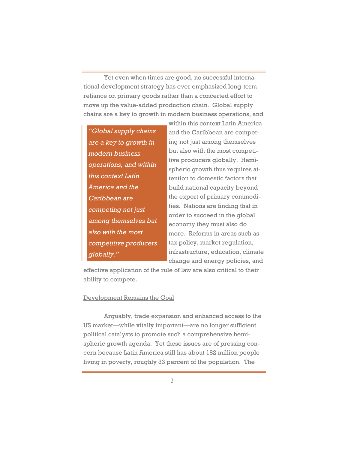Yet even when times are good, no successful international development strategy has ever emphasized long-term reliance on primary goods rather than a concerted effort to move up the value-added production chain. Global supply chains are a key to growth in modern business operations, and

*"Global supply chains are a key to growth in modern business operations, and within this context Latin America and the Caribbean are competing not just among themselves but also with the most competitive producers globally."* 

within this context Latin America and the Caribbean are competing not just among themselves but also with the most competitive producers globally. Hemispheric growth thus requires attention to domestic factors that build national capacity beyond the export of primary commodities. Nations are finding that in order to succeed in the global economy they must also do more. Reforms in areas such as tax policy, market regulation, infrastructure, education, climate change and energy policies, and

effective application of the rule of law are also critical to their ability to compete.

#### Development Remains the Goal

Arguably, trade expansion and enhanced access to the US market—while vitally important—are no longer sufficient political catalysts to promote such a comprehensive hemispheric growth agenda. Yet these issues are of pressing concern because Latin America still has about 182 million people living in poverty, roughly 33 percent of the population. The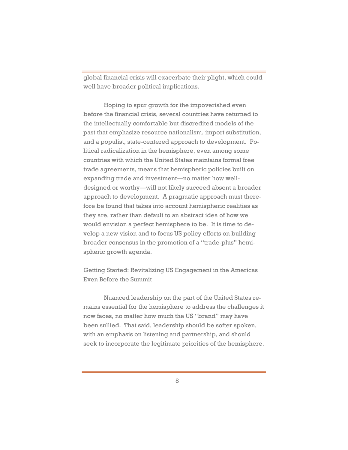global financial crisis will exacerbate their plight, which could well have broader political implications.

Hoping to spur growth for the impoverished even before the financial crisis, several countries have returned to the intellectually comfortable but discredited models of the past that emphasize resource nationalism, import substitution, and a populist, state-centered approach to development. Political radicalization in the hemisphere, even among some countries with which the United States maintains formal free trade agreements, means that hemispheric policies built on expanding trade and investment—no matter how welldesigned or worthy—will not likely succeed absent a broader approach to development. A pragmatic approach must therefore be found that takes into account hemispheric realities as they are, rather than default to an abstract idea of how we would envision a perfect hemisphere to be. It is time to develop a new vision and to focus US policy efforts on building broader consensus in the promotion of a "trade-plus" hemispheric growth agenda.

# Getting Started: Revitalizing US Engagement in the Americas Even Before the Summit

 Nuanced leadership on the part of the United States remains essential for the hemisphere to address the challenges it now faces, no matter how much the US "brand" may have been sullied. That said, leadership should be softer spoken, with an emphasis on listening and partnership, and should seek to incorporate the legitimate priorities of the hemisphere.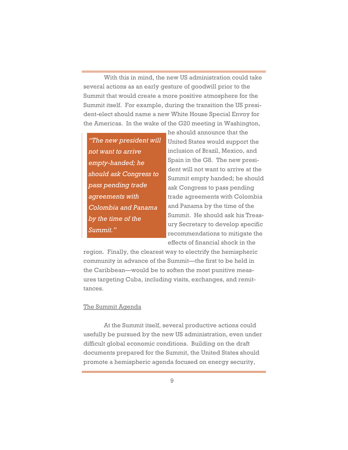With this in mind, the new US administration could take several actions as an early gesture of goodwill prior to the Summit that would create a more positive atmosphere for the Summit itself. For example, during the transition the US president-elect should name a new White House Special Envoy for the Americas. In the wake of the G20 meeting in Washington,

*"The new president will not want to arrive empty-handed; he should ask Congress to pass pending trade agreements with Colombia and Panama by the time of the Summit."* 

he should announce that the United States would support the inclusion of Brazil, Mexico, and Spain in the G8. The new president will not want to arrive at the Summit empty handed; he should ask Congress to pass pending trade agreements with Colombia and Panama by the time of the Summit. He should ask his Treasury Secretary to develop specific recommendations to mitigate the effects of financial shock in the

region. Finally, the clearest way to electrify the hemispheric community in advance of the Summit—the first to be held in the Caribbean—would be to soften the most punitive measures targeting Cuba, including visits, exchanges, and remittances.

## The Summit Agenda

 At the Summit itself, several productive actions could usefully be pursued by the new US administration, even under difficult global economic conditions. Building on the draft documents prepared for the Summit, the United States should promote a hemispheric agenda focused on energy security,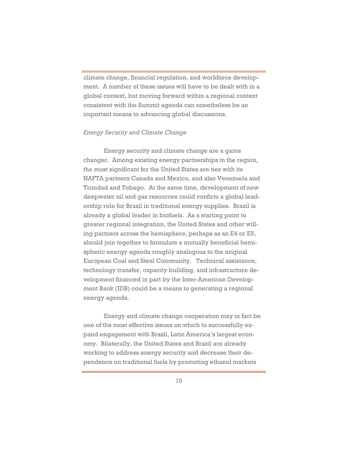climate change, financial regulation, and workforce development. A number of these issues will have to be dealt with in a global context, but moving forward within a regional context consistent with the Summit agenda can nonetheless be an important means to advancing global discussions.

### *Energy Security and Climate Change*

 Energy security and climate change are a game changer. Among existing energy partnerships in the region, the most significant for the United States are ties with its NAFTA partners Canada and Mexico, and also Venezuela and Trinidad and Tobago. At the same time, development of new deepwater oil and gas resources could confirm a global leadership role for Brazil in traditional energy supplies. Brazil is already a global leader in biofuels. As a starting point to greater regional integration, the United States and other willing partners across the hemisphere, perhaps as an E4 or E5, should join together to formulate a mutually beneficial hemispheric energy agenda roughly analogous to the original European Coal and Steel Community. Technical assistance, technology transfer, capacity building, and infrastructure development financed in part by the Inter-American Development Bank (IDB) could be a means to generating a regional energy agenda.

Energy and climate change cooperation may in fact be one of the most effective issues on which to successfully expand engagement with Brazil, Latin America's largest economy. Bilaterally, the United States and Brazil are already working to address energy security and decrease their dependence on traditional fuels by promoting ethanol markets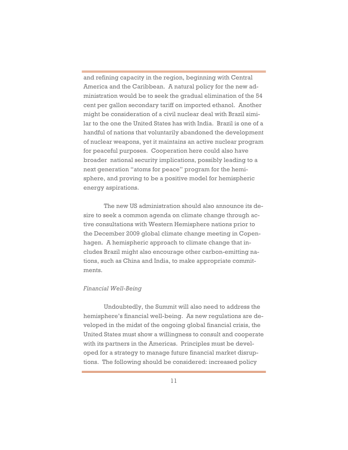and refining capacity in the region, beginning with Central America and the Caribbean. A natural policy for the new administration would be to seek the gradual elimination of the 54 cent per gallon secondary tariff on imported ethanol. Another might be consideration of a civil nuclear deal with Brazil similar to the one the United States has with India. Brazil is one of a handful of nations that voluntarily abandoned the development of nuclear weapons, yet it maintains an active nuclear program for peaceful purposes. Cooperation here could also have broader national security implications, possibly leading to a next generation "atoms for peace" program for the hemisphere, and proving to be a positive model for hemispheric energy aspirations.

The new US administration should also announce its desire to seek a common agenda on climate change through active consultations with Western Hemisphere nations prior to the December 2009 global climate change meeting in Copenhagen. A hemispheric approach to climate change that includes Brazil might also encourage other carbon-emitting nations, such as China and India, to make appropriate commitments.

## *Financial Well-Being*

Undoubtedly, the Summit will also need to address the hemisphere's financial well-being. As new regulations are developed in the midst of the ongoing global financial crisis, the United States must show a willingness to consult and cooperate with its partners in the Americas. Principles must be developed for a strategy to manage future financial market disruptions. The following should be considered: increased policy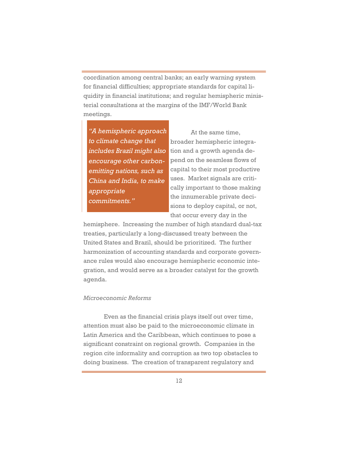coordination among central banks; an early warning system for financial difficulties; appropriate standards for capital liquidity in financial institutions; and regular hemispheric ministerial consultations at the margins of the IMF/World Bank meetings.

*"A hemispheric approach to climate change that includes Brazil might also encourage other carbonemitting nations, such as China and India, to make appropriate commitments."* 

 At the same time, broader hemispheric integration and a growth agenda depend on the seamless flows of capital to their most productive uses. Market signals are critically important to those making the innumerable private decisions to deploy capital, or not, that occur every day in the

hemisphere. Increasing the number of high standard dual-tax treaties, particularly a long-discussed treaty between the United States and Brazil, should be prioritized. The further harmonization of accounting standards and corporate governance rules would also encourage hemispheric economic integration, and would serve as a broader catalyst for the growth agenda.

### *Microeconomic Reforms*

Even as the financial crisis plays itself out over time, attention must also be paid to the microeconomic climate in Latin America and the Caribbean, which continues to pose a significant constraint on regional growth. Companies in the region cite informality and corruption as two top obstacles to doing business. The creation of transparent regulatory and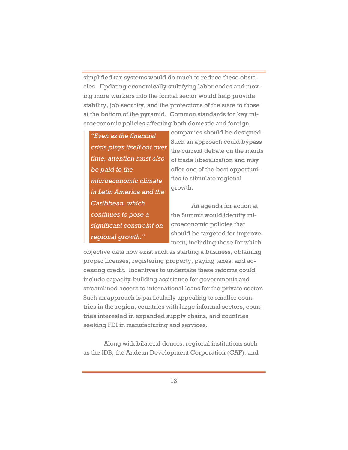simplified tax systems would do much to reduce these obstacles. Updating economically stultifying labor codes and moving more workers into the formal sector would help provide stability, job security, and the protections of the state to those at the bottom of the pyramid. Common standards for key microeconomic policies affecting both domestic and foreign

*"Even as the financial crisis plays itself out over time, attention must also be paid to the microeconomic climate in Latin America and the Caribbean, which continues to pose a significant constraint on regional growth."*

companies should be designed. Such an approach could bypass the current debate on the merits of trade liberalization and may offer one of the best opportunities to stimulate regional growth.

 An agenda for action at the Summit would identify microeconomic policies that should be targeted for improvement, including those for which

objective data now exist such as starting a business, obtaining proper licenses, registering property, paying taxes, and accessing credit. Incentives to undertake these reforms could include capacity-building assistance for governments and streamlined access to international loans for the private sector. Such an approach is particularly appealing to smaller countries in the region, countries with large informal sectors, countries interested in expanded supply chains, and countries seeking FDI in manufacturing and services.

 Along with bilateral donors, regional institutions such as the IDB, the Andean Development Corporation (CAF), and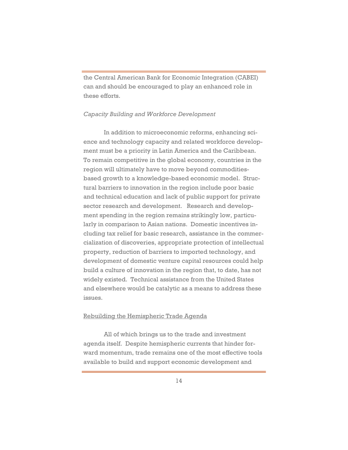the Central American Bank for Economic Integration (CABEI) can and should be encouraged to play an enhanced role in these efforts.

## *Capacity Building and Workforce Development*

 In addition to microeconomic reforms, enhancing science and technology capacity and related workforce development must be a priority in Latin America and the Caribbean. To remain competitive in the global economy, countries in the region will ultimately have to move beyond commoditiesbased growth to a knowledge-based economic model. Structural barriers to innovation in the region include poor basic and technical education and lack of public support for private sector research and development. Research and development spending in the region remains strikingly low, particularly in comparison to Asian nations. Domestic incentives including tax relief for basic research, assistance in the commercialization of discoveries, appropriate protection of intellectual property, reduction of barriers to imported technology, and development of domestic venture capital resources could help build a culture of innovation in the region that, to date, has not widely existed. Technical assistance from the United States and elsewhere would be catalytic as a means to address these issues.

#### Rebuilding the Hemispheric Trade Agenda

 All of which brings us to the trade and investment agenda itself. Despite hemispheric currents that hinder forward momentum, trade remains one of the most effective tools available to build and support economic development and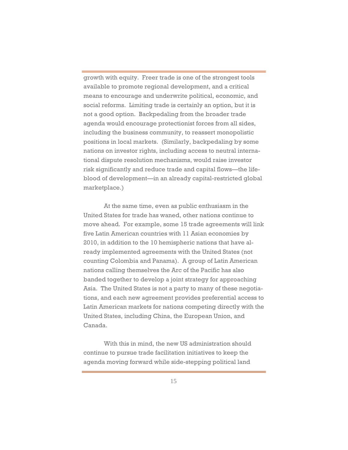growth with equity. Freer trade is one of the strongest tools available to promote regional development, and a critical means to encourage and underwrite political, economic, and social reforms. Limiting trade is certainly an option, but it is not a good option. Backpedaling from the broader trade agenda would encourage protectionist forces from all sides, including the business community, to reassert monopolistic positions in local markets. (Similarly, backpedaling by some nations on investor rights, including access to neutral international dispute resolution mechanisms, would raise investor risk significantly and reduce trade and capital flows—the lifeblood of development—in an already capital-restricted global marketplace.)

 At the same time, even as public enthusiasm in the United States for trade has waned, other nations continue to move ahead. For example, some 15 trade agreements will link five Latin American countries with 11 Asian economies by 2010, in addition to the 10 hemispheric nations that have already implemented agreements with the United States (not counting Colombia and Panama). A group of Latin American nations calling themselves the Arc of the Pacific has also banded together to develop a joint strategy for approaching Asia. The United States is not a party to many of these negotiations, and each new agreement provides preferential access to Latin American markets for nations competing directly with the United States, including China, the European Union, and Canada.

 With this in mind, the new US administration should continue to pursue trade facilitation initiatives to keep the agenda moving forward while side-stepping political land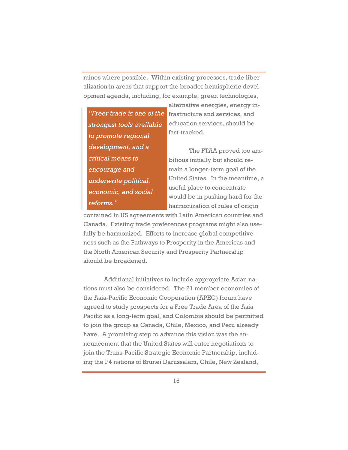mines where possible. Within existing processes, trade liberalization in areas that support the broader hemispheric development agenda, including, for example, green technologies,

*strongest tools available to promote regional development, and a critical means to encourage and underwrite political, economic, and social reforms."*

alternative energies, energy in-*"Freer trade is one of the* **frastructure and services**, and education services, should be fast-tracked.

> The FTAA proved too ambitious initially but should remain a longer-term goal of the United States. In the meantime, a useful place to concentrate would be in pushing hard for the harmonization of rules of origin

contained in US agreements with Latin American countries and Canada. Existing trade preferences programs might also usefully be harmonized. Efforts to increase global competitiveness such as the Pathways to Prosperity in the Americas and the North American Security and Prosperity Partnership should be broadened.

Additional initiatives to include appropriate Asian nations must also be considered. The 21 member economies of the Asia-Pacific Economic Cooperation (APEC) forum have agreed to study prospects for a Free Trade Area of the Asia Pacific as a long-term goal, and Colombia should be permitted to join the group as Canada, Chile, Mexico, and Peru already have. A promising step to advance this vision was the announcement that the United States will enter negotiations to join the Trans-Pacific Strategic Economic Partnership, including the P4 nations of Brunei Darussalam, Chile, New Zealand,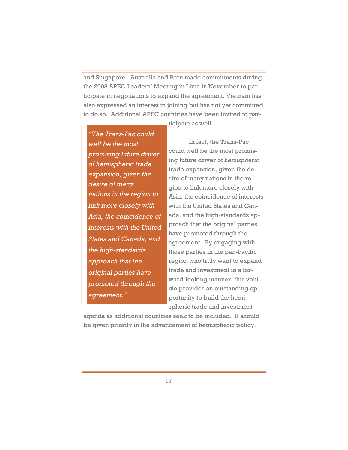and Singapore. Australia and Peru made commitments during the 2008 APEC Leaders' Meeting in Lima in November to participate in negotiations to expand the agreement. Vietnam has also expressed an interest in joining but has not yet committed to do so. Additional APEC countries have been invited to par-

ticipate as well.

*"The Trans-Pac could well be the most promising future driver of hemispheric trade expansion, given the desire of many nations in the region to link more closely with Asia, the coincidence of interests with the United States and Canada, and the high-standards approach that the original parties have promoted through the agreement."*

 In fact, the Trans-Pac could well be the most promising future driver of *hemispheric* trade expansion, given the desire of many nations in the region to link more closely with Asia, the coincidence of interests with the United States and Canada, and the high-standards approach that the original parties have promoted through the agreement. By engaging with those parties in the pan-Pacific region who truly want to expand trade and investment in a forward-looking manner, this vehicle provides an outstanding opportunity to build the hemispheric trade and investment

agenda as additional countries seek to be included. It should be given priority in the advancement of hemispheric policy.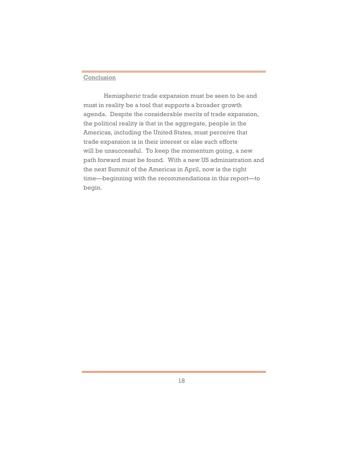## Conclusion

 Hemispheric trade expansion must be seen to be and must in reality be a tool that supports a broader growth agenda. Despite the considerable merits of trade expansion, the political reality is that in the aggregate, people in the Americas, including the United States, must perceive that trade expansion is in their interest or else such efforts will be unsuccessful. To keep the momentum going, a new path forward must be found. With a new US administration and the next Summit of the Americas in April, now is the right time—beginning with the recommendations in this report—to begin.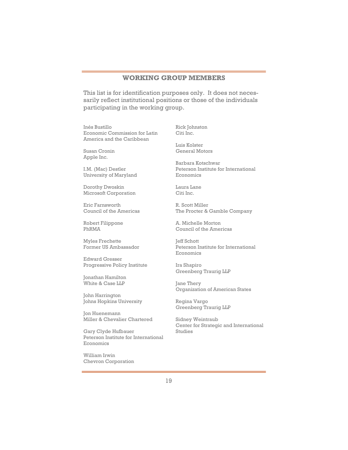## **WORKING GROUP MEMBERS**

This list is for identification purposes only. It does not necessarily reflect institutional positions or those of the individuals participating in the working group.

Inés Bustillo Economic Commission for Latin America and the Caribbean

Susan Cronin Apple Inc.

I.M. (Mac) Destler University of Maryland

Dorothy Dwoskin Microsoft Corporation

Eric Farnsworth Council of the Americas

Robert Filippone PhRMA

Myles Frechette Former US Ambassador

Edward Gresser Progressive Policy Institute

Jonathan Hamilton White & Case LLP

John Harrington Johns Hopkins University

Jon Huenemann Miller & Chevalier Chartered

Gary Clyde Hufbauer Peterson Institute for International Economics

William Irwin Chevron Corporation Rick Johnston Citi Inc.

Luis Kolster General Motors

Barbara Kotschwar Peterson Institute for International Economics

Laura Lane Citi Inc.

R. Scott Miller The Procter & Gamble Company

A. Michelle Morton Council of the Americas

Jeff Schott Peterson Institute for International Economics

Ira Shapiro Greenberg Traurig LLP

Jane Thery Organization of American States

Regina Vargo Greenberg Traurig LLP

Sidney Weintraub Center for Strategic and International Studies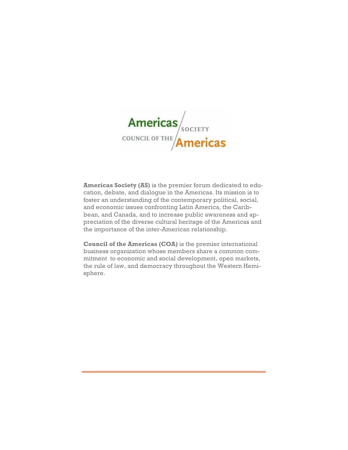

**Americas Society (AS)** is the premier forum dedicated to education, debate, and dialogue in the Americas. Its mission is to foster an understanding of the contemporary political, social, and economic issues confronting Latin America, the Caribbean, and Canada, and to increase public awareness and appreciation of the diverse cultural heritage of the Americas and the importance of the inter-American relationship.

**Council of the Americas (COA)** is the premier international business organization whose members share a common commitment to economic and social development, open markets, the rule of law, and democracy throughout the Western Hemisphere.